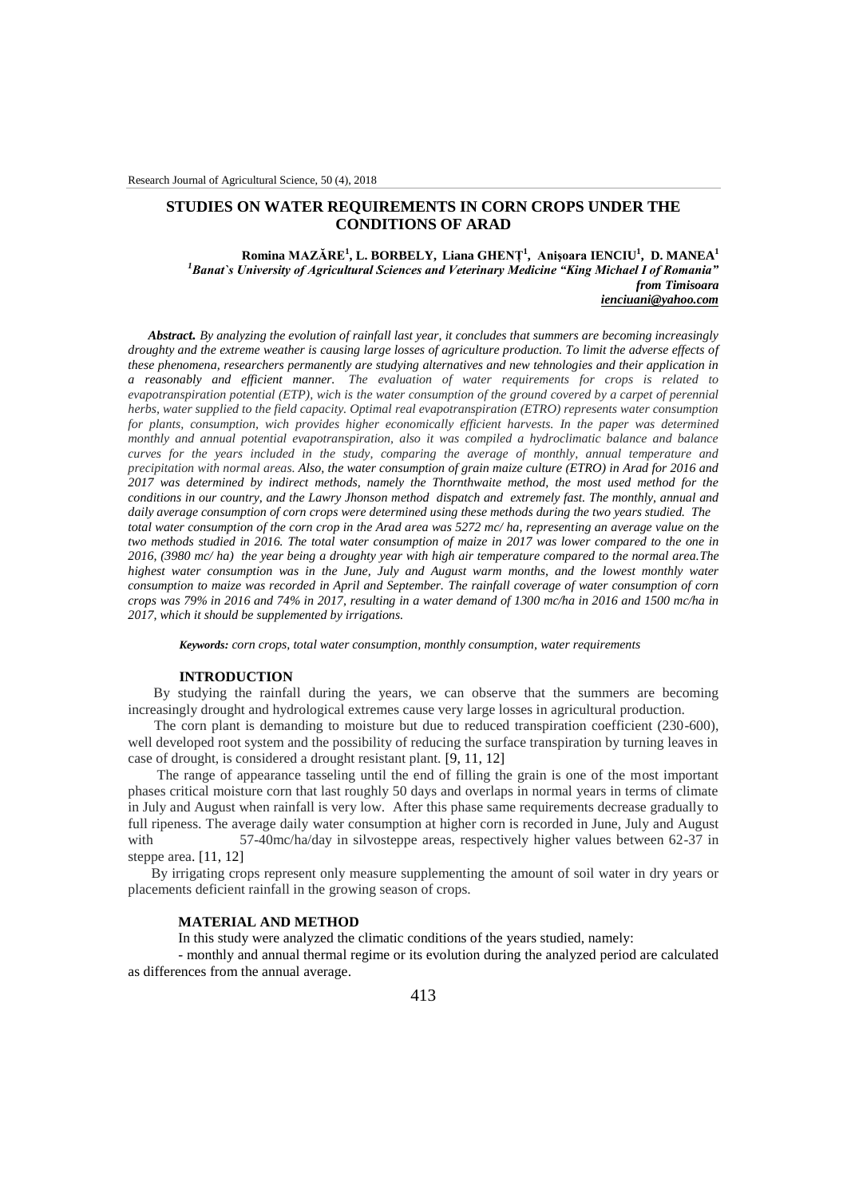# **STUDIES ON WATER REQUIREMENTS IN CORN CROPS UNDER THE CONDITIONS OF ARAD**

### **Romina MAZĂRE<sup>1</sup> , L. BORBELY, Liana GHENȚ<sup>1</sup> , Anişoara IENCIU<sup>1</sup> , D. MANEA<sup>1</sup>** *<sup>1</sup>Banat`s University of Agricultural Sciences and Veterinary Medicine "King Michael I of Romania" from Timisoara ienciuani@yahoo.com*

*Abstract. By analyzing the evolution of rainfall last year, it concludes that summers are becoming increasingly droughty and the extreme weather is causing large losses of agriculture production. To limit the adverse effects of these phenomena, researchers permanently are studying alternatives and new tehnologies and their application in a reasonably and efficient manner. The evaluation of water requirements for crops is related to evapotranspiration potential (ETP), wich is the water consumption of the ground covered by a carpet of perennial herbs, water supplied to the field capacity. Optimal real evapotranspiration (ETRO) represents water consumption for plants, consumption, wich provides higher economically efficient harvests. In the paper was determined monthly and annual potential evapotranspiration, also it was compiled a hydroclimatic balance and balance curves for the years included in the study, comparing the average of monthly, annual temperature and precipitation with normal areas. Also, the water consumption of grain maize culture (ETRO) in Arad for 2016 and 2017 was determined by indirect methods, namely the Thornthwaite method, the most used method for the conditions in our country, and the Lawry Jhonson method dispatch and extremely fast. The monthly, annual and daily average consumption of corn crops were determined using these methods during the two years studied. The total water consumption of the corn crop in the Arad area was 5272 mc/ ha, representing an average value on the two methods studied in 2016. The total water consumption of maize in 2017 was lower compared to the one in 2016, (3980 mc/ ha) the year being a droughty year with high air temperature compared to the normal area.The highest water consumption was in the June, July and August warm months, and the lowest monthly water consumption to maize was recorded in April and September. The rainfall coverage of water consumption of corn crops was 79% in 2016 and 74% in 2017, resulting in a water demand of 1300 mc/ha in 2016 and 1500 mc/ha in 2017, which it should be supplemented by irrigations.*

*Keywords: corn crops, total water consumption, monthly consumption, water requirements*

## **INTRODUCTION**

By studying the rainfall during the years, we can observe that the summers are becoming increasingly drought and hydrological extremes cause very large losses in agricultural production.

The corn plant is demanding to moisture but due to reduced transpiration coefficient (230-600), well developed root system and the possibility of reducing the surface transpiration by turning leaves in case of drought, is considered a drought resistant plant. [9, 11, 12]

The range of appearance tasseling until the end of filling the grain is one of the most important phases critical moisture corn that last roughly 50 days and overlaps in normal years in terms of climate in July and August when rainfall is very low. After this phase same requirements decrease gradually to full ripeness. The average daily water consumption at higher corn is recorded in June, July and August with 57-40mc/ha/day in silvosteppe areas, respectively higher values between 62-37 in steppe area. [11, 12]

By irrigating crops represent only measure supplementing the amount of soil water in dry years or placements deficient rainfall in the growing season of crops.

#### **MATERIAL AND METHOD**

In this study were analyzed the climatic conditions of the years studied, namely:

- monthly and annual thermal regime or its evolution during the analyzed period are calculated as differences from the annual average.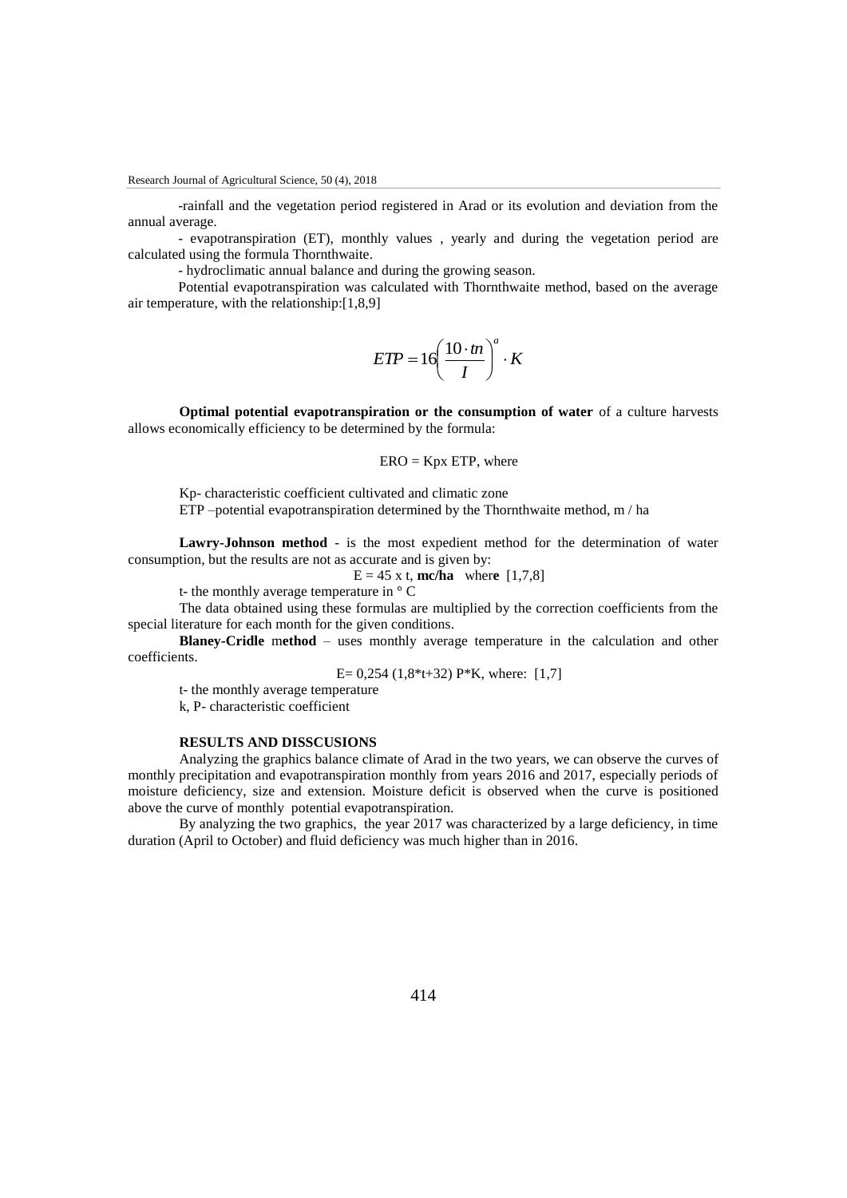-rainfall and the vegetation period registered in Arad or its evolution and deviation from the annual average.

- evapotranspiration (ET), monthly values , yearly and during the vegetation period are calculated using the formula Thornthwaite.

- hydroclimatic annual balance and during the growing season.

Potential evapotranspiration was calculated with Thornthwaite method, based on the average air temperature, with the relationship:[1,8,9]

$$
ETP = 16 \left(\frac{10 \cdot tn}{I}\right)^a \cdot K
$$

**Optimal potential evapotranspiration or the consumption of water** of a culture harvests allows economically efficiency to be determined by the formula:

 $ERO = Kpx ETP$ , where

Kp- characteristic coefficient cultivated and climatic zone ETP –potential evapotranspiration determined by the Thornthwaite method, m / ha

**Lawry-Johnson method** - is the most expedient method for the determination of water consumption, but the results are not as accurate and is given by:

 $E = 45$  x t, **mc/ha** where [1,7,8]

t- the monthly average temperature in ° C

The data obtained using these formulas are multiplied by the correction coefficients from the special literature for each month for the given conditions.

**Blaney-Cridle** m**ethod** – uses monthly average temperature in the calculation and other coefficients.

E=  $0,254$  (1,8\*t+32) P\*K, where: [1,7]

t- the monthly average temperature

k, P- characteristic coefficient

### **RESULTS AND DISSCUSIONS**

Analyzing the graphics balance climate of Arad in the two years, we can observe the curves of monthly precipitation and evapotranspiration monthly from years 2016 and 2017, especially periods of moisture deficiency, size and extension. Moisture deficit is observed when the curve is positioned above the curve of monthly potential evapotranspiration.

By analyzing the two graphics, the year 2017 was characterized by a large deficiency, in time duration (April to October) and fluid deficiency was much higher than in 2016.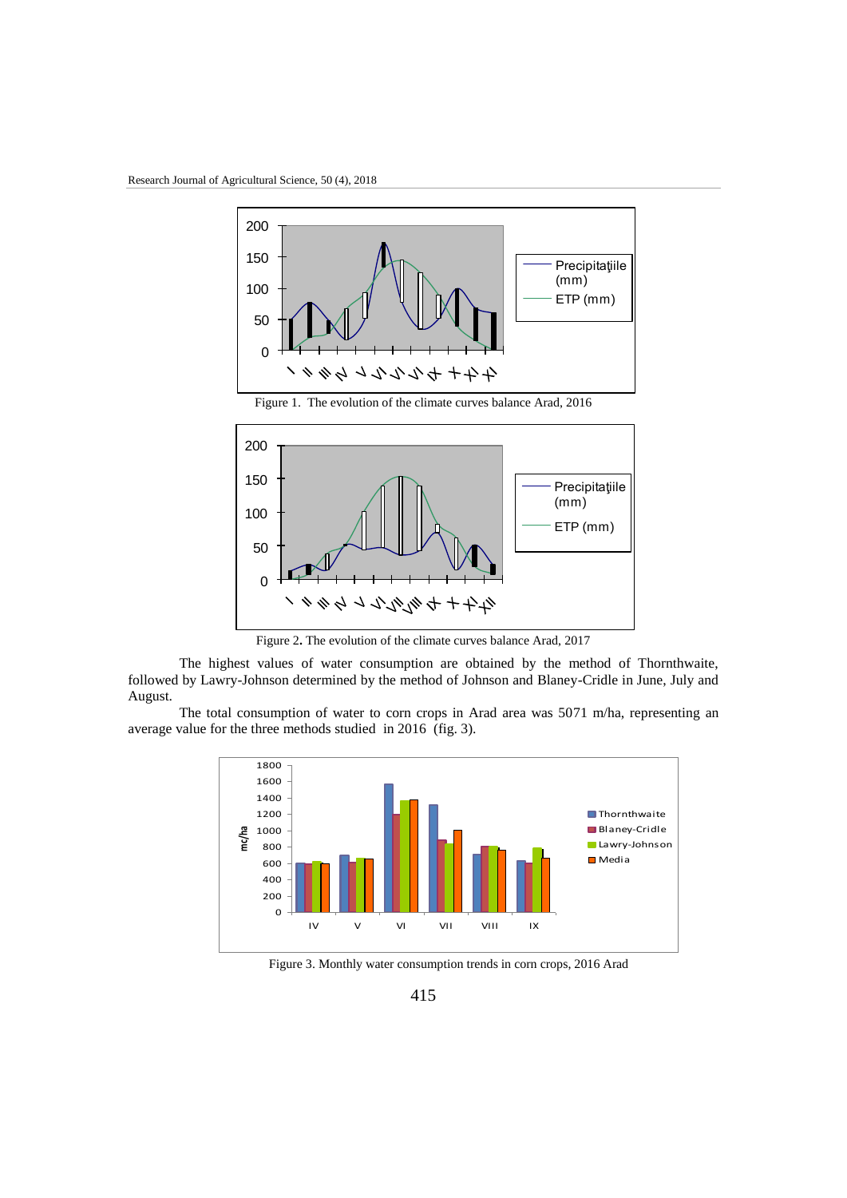

Figure 1. The evolution of the climate curves balance Arad, 2016



Figure 2**.** The evolution of the climate curves balance Arad, 2017

The highest values of water consumption are obtained by the method of Thornthwaite, followed by Lawry-Johnson determined by the method of Johnson and Blaney-Cridle in June, July and August.

The total consumption of water to corn crops in Arad area was 5071 m/ha, representing an average value for the three methods studied in 2016 (fig. 3).



Figure 3. Monthly water consumption trends in corn crops, 2016 Arad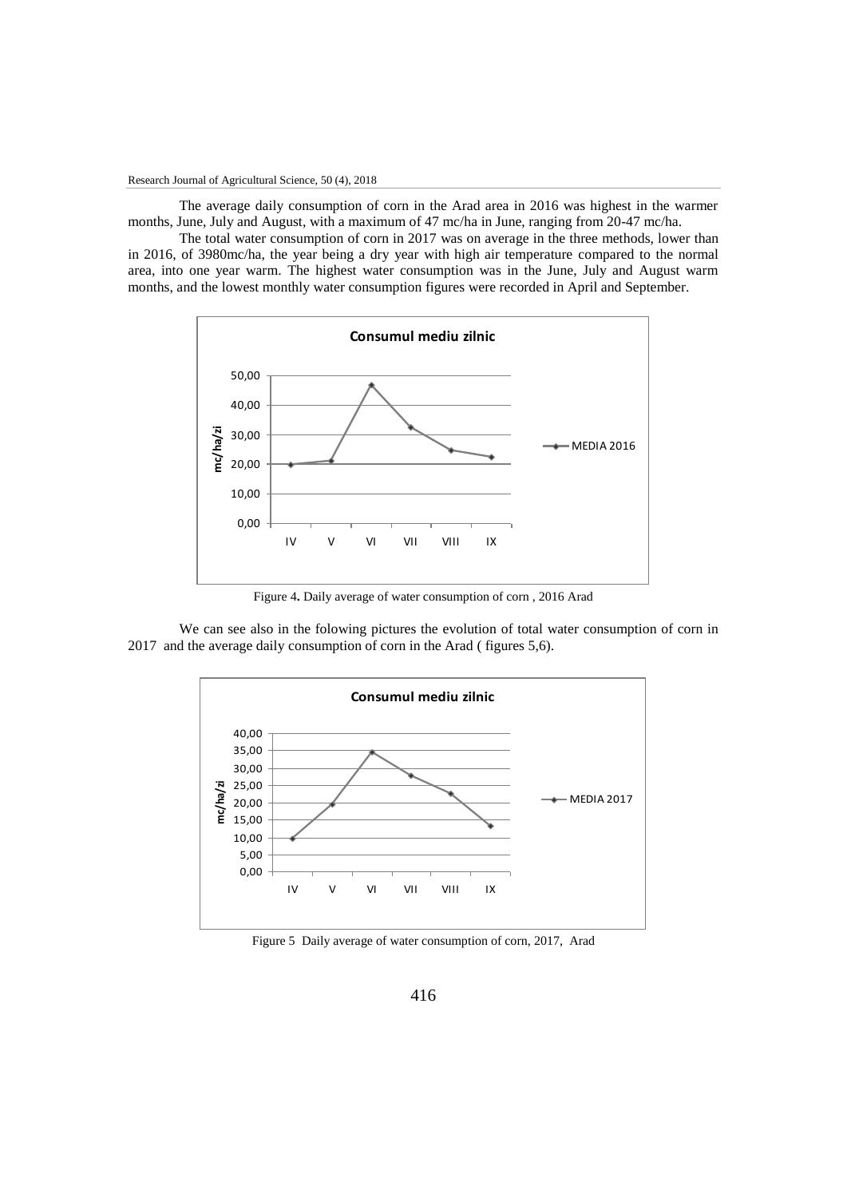The average daily consumption of corn in the Arad area in 2016 was highest in the warmer months, June, July and August, with a maximum of 47 mc/ha in June, ranging from 20-47 mc/ha.

The total water consumption of corn in 2017 was on average in the three methods, lower than in 2016, of 3980mc/ha, the year being a dry year with high air temperature compared to the normal area, into one year warm. The highest water consumption was in the June, July and August warm months, and the lowest monthly water consumption figures were recorded in April and September.



Figure 4**.** Daily average of water consumption of corn , 2016 Arad

We can see also in the folowing pictures the evolution of total water consumption of corn in 2017 and the average daily consumption of corn in the Arad ( figures 5,6).



Figure 5Daily average of water consumption of corn, 2017, Arad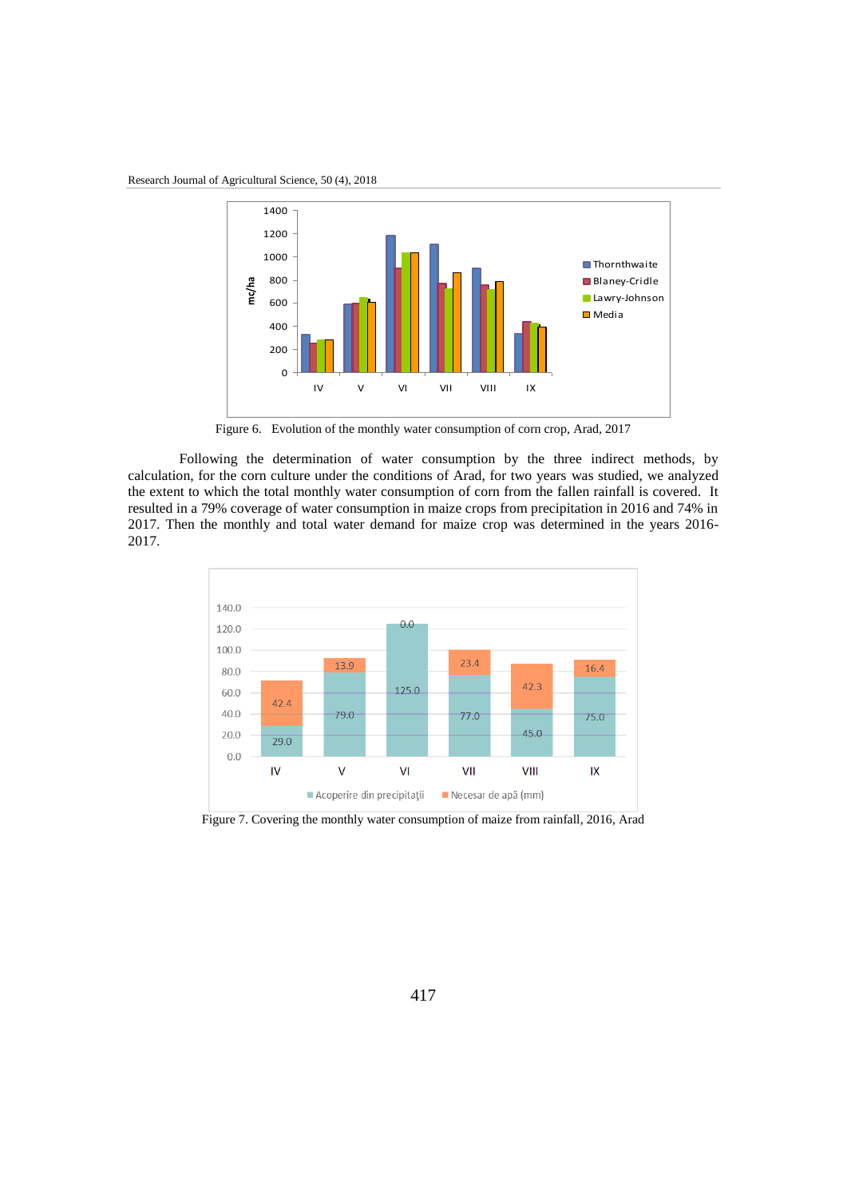Research Journal of Agricultural Science, 50 (4), 2018



Figure 6.Evolution of the monthly water consumption of corn crop, Arad, 2017

Following the determination of water consumption by the three indirect methods, by calculation, for the corn culture under the conditions of Arad, for two years was studied, we analyzed the extent to which the total monthly water consumption of corn from the fallen rainfall is covered. It resulted in a 79% coverage of water consumption in maize crops from precipitation in 2016 and 74% in 2017. Then the monthly and total water demand for maize crop was determined in the years 2016- 2017.



Figure 7. Covering the monthly water consumption of maize from rainfall, 2016, Arad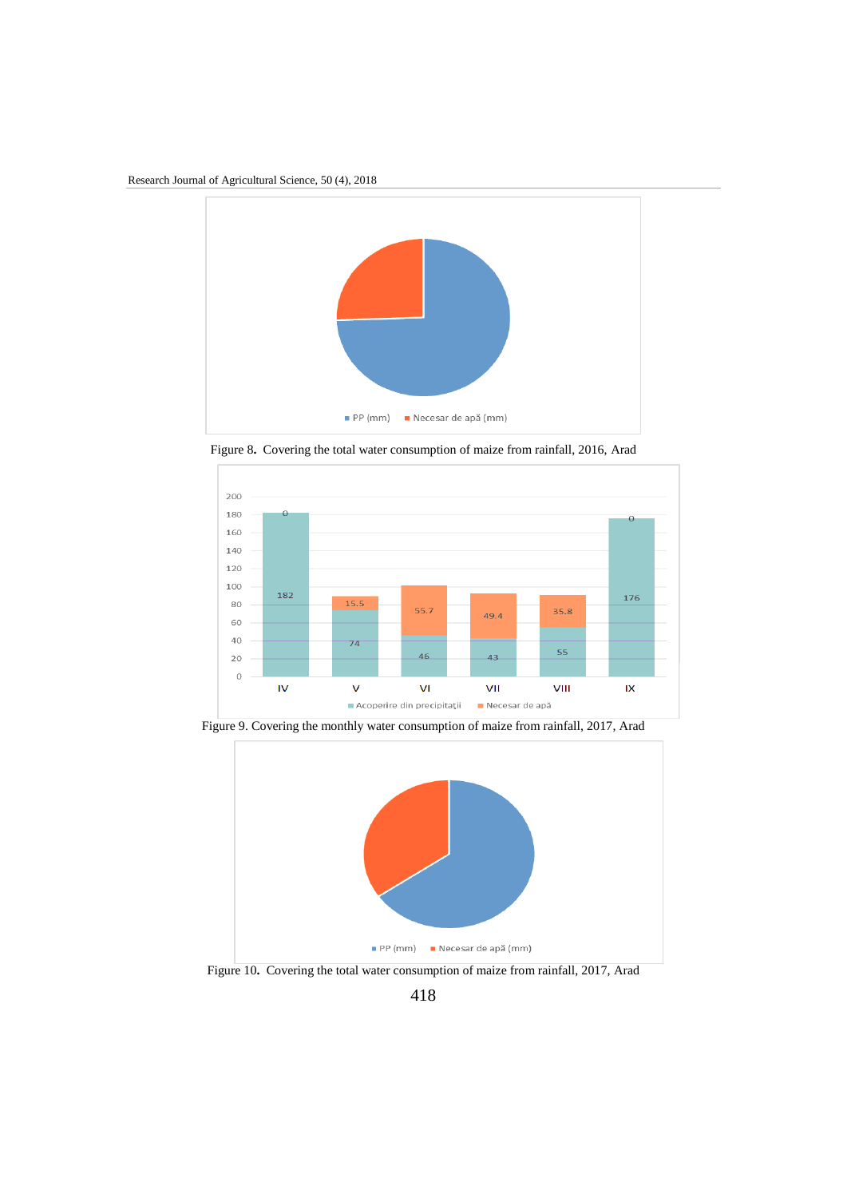

Figure 8**.** Covering the total water consumption of maize from rainfall, 2016, Arad



Figure 9. Covering the monthly water consumption of maize from rainfall, 2017, Arad



Figure 10**.** Covering the total water consumption of maize from rainfall, 2017, Arad

418